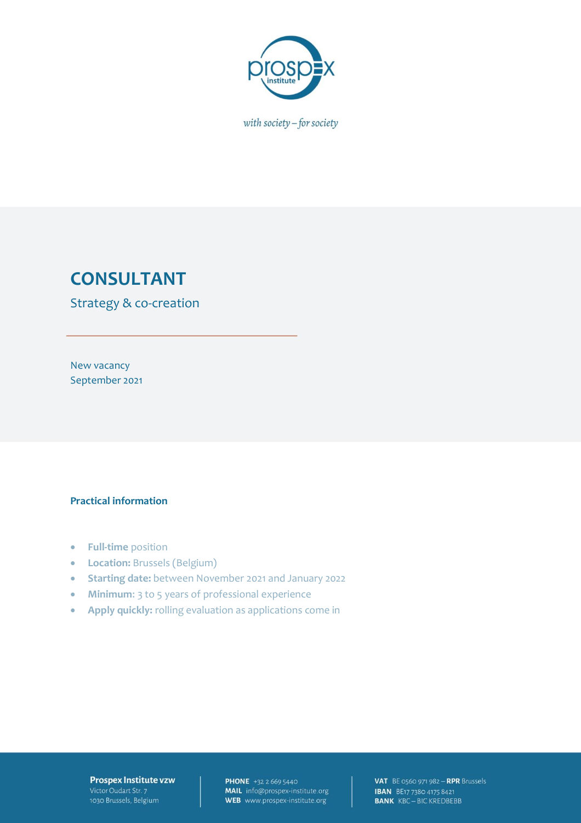

with society - for society

# **CONSULTANT**

Strategy & co-creation

New vacancy September 2021

#### **Practical information**

- **Full-time** position
- **Location:** Brussels (Belgium)
- **Starting date:** between November 2021 and January 2022
- **Minimum**: 3 to 5 years of professional experience
- **Apply quickly:** rolling evaluation as applications come in

#### Prospex Institute vzw Victor Oudart Str. 7 1030 Brussels, Belgium

**PHONE** +32 2 669 5440 **MAIL** info@prospex-institute.org<br>WEB www.prospex-institute.org

VAT BE 0560 971 982 - RPR Brussels **IBAN** BE17 7380 4175 8421<br>**BANK** KBC - BIC KREDBEBB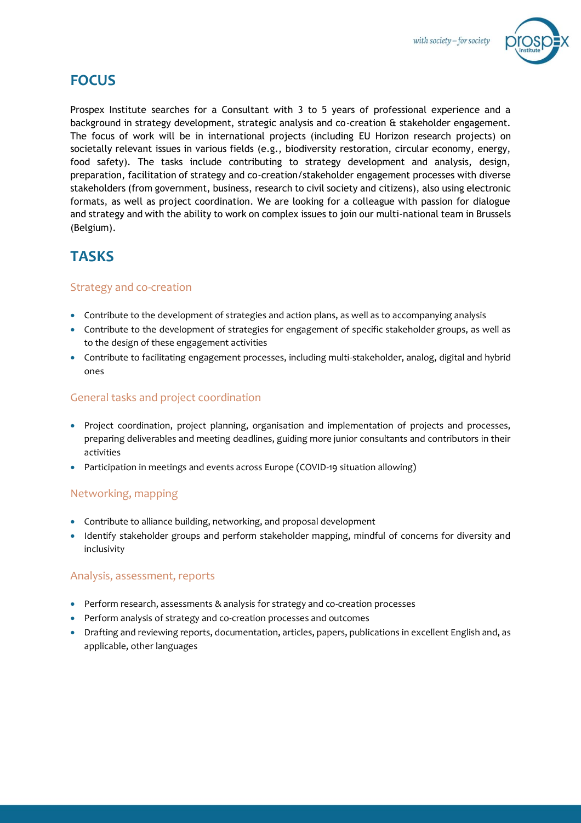

## **FOCUS**

Prospex Institute searches for a Consultant with 3 to 5 years of professional experience and a background in strategy development, strategic analysis and co-creation & stakeholder engagement. The focus of work will be in international projects (including EU Horizon research projects) on societally relevant issues in various fields (e.g., biodiversity restoration, circular economy, energy, food safety). The tasks include contributing to strategy development and analysis, design, preparation, facilitation of strategy and co-creation/stakeholder engagement processes with diverse stakeholders (from government, business, research to civil society and citizens), also using electronic formats, as well as project coordination. We are looking for a colleague with passion for dialogue and strategy and with the ability to work on complex issues to join our multi-national team in Brussels (Belgium).

## **TASKS**

### Strategy and co-creation

- Contribute to the development of strategies and action plans, as well as to accompanying analysis
- Contribute to the development of strategies for engagement of specific stakeholder groups, as well as to the design of these engagement activities
- Contribute to facilitating engagement processes, including multi-stakeholder, analog, digital and hybrid ones

### General tasks and project coordination

- Project coordination, project planning, organisation and implementation of projects and processes, preparing deliverables and meeting deadlines, guiding more junior consultants and contributors in their activities
- Participation in meetings and events across Europe (COVID-19 situation allowing)

### Networking, mapping

- Contribute to alliance building, networking, and proposal development
- Identify stakeholder groups and perform stakeholder mapping, mindful of concerns for diversity and inclusivity

### Analysis, assessment, reports

- Perform research, assessments & analysis for strategy and co-creation processes
- Perform analysis of strategy and co-creation processes and outcomes
- Drafting and reviewing reports, documentation, articles, papers, publications in excellent English and, as applicable, other languages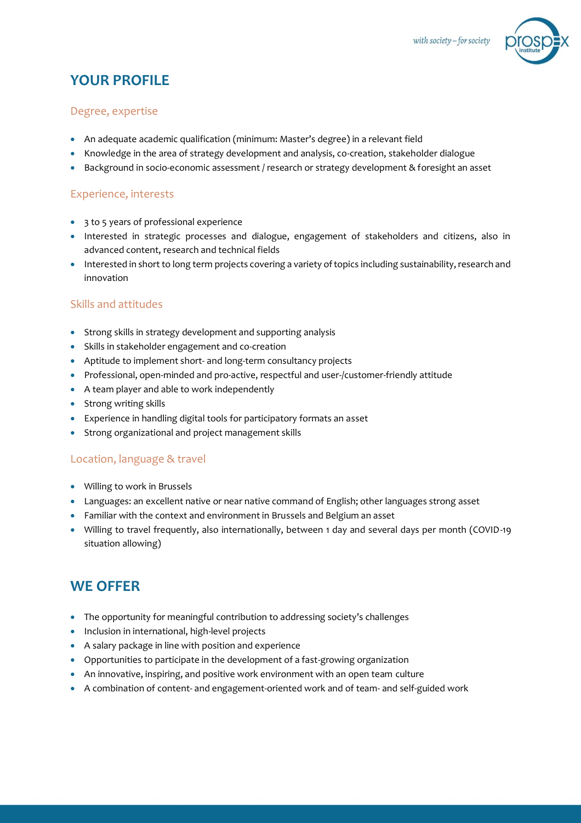

## **YOUR PROFILE**

### Degree, expertise

- An adequate academic qualification (minimum: Master's degree) in a relevant field
- Knowledge in the area of strategy development and analysis, co-creation, stakeholder dialogue
- Background in socio-economic assessment / research or strategy development & foresight an asset

### Experience, interests

- 3 to 5 years of professional experience
- Interested in strategic processes and dialogue, engagement of stakeholders and citizens, also in advanced content, research and technical fields
- Interested in short to long term projects covering a variety of topics including sustainability, research and innovation

### Skills and attitudes

- Strong skills in strategy development and supporting analysis
- Skills in stakeholder engagement and co-creation
- Aptitude to implement short- and long-term consultancy projects
- Professional, open-minded and pro-active, respectful and user-/customer-friendly attitude
- A team player and able to work independently
- Strong writing skills
- Experience in handling digital tools for participatory formats an asset
- Strong organizational and project management skills

### Location, language & travel

- Willing to work in Brussels
- Languages: an excellent native or near native command of English; other languages strong asset
- Familiar with the context and environment in Brussels and Belgium an asset
- Willing to travel frequently, also internationally, between 1 day and several days per month (COVID-19 situation allowing)

## **WE OFFER**

- The opportunity for meaningful contribution to addressing society's challenges
- Inclusion in international, high-level projects
- A salary package in line with position and experience
- Opportunities to participate in the development of a fast-growing organization
- An innovative, inspiring, and positive work environment with an open team culture
- A combination of content- and engagement-oriented work and of team- and self-guided work